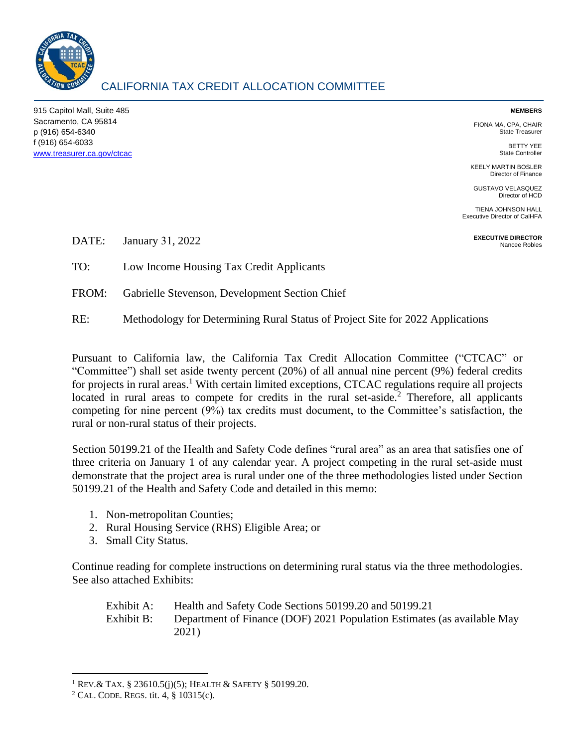

# CALIFORNIA TAX CREDIT ALLOCATION COMMITTEE

915 Capitol Mall, Suite 485 Sacramento, CA 95814 p (916) 654-6340 f (916) 654-6033 [www.treasurer.ca.gov/ctcac](http://www.treasurer.ca.gov/ctcac)

#### **MEMBERS**

FIONA MA, CPA, CHAIR State Treasurer

> BETTY YEE State Controller

KEELY MARTIN BOSLER Director of Finance

GUSTAVO VELASQUEZ Director of HCD

TIENA JOHNSON HALL Executive Director of CalHFA

> **EXECUTIVE DIRECTOR** Nancee Robles

DATE: January 31, 2022

TO: Low Income Housing Tax Credit Applicants

FROM: Gabrielle Stevenson, Development Section Chief

RE: Methodology for Determining Rural Status of Project Site for 2022 Applications

Pursuant to California law, the California Tax Credit Allocation Committee ("CTCAC" or "Committee") shall set aside twenty percent (20%) of all annual nine percent (9%) federal credits for projects in rural areas.<sup>1</sup> With certain limited exceptions, CTCAC regulations require all projects located in rural areas to compete for credits in the rural set-aside.<sup>2</sup> Therefore, all applicants competing for nine percent (9%) tax credits must document, to the Committee's satisfaction, the rural or non-rural status of their projects.

Section 50199.21 of the Health and Safety Code defines "rural area" as an area that satisfies one of three criteria on January 1 of any calendar year. A project competing in the rural set-aside must demonstrate that the project area is rural under one of the three methodologies listed under Section 50199.21 of the Health and Safety Code and detailed in this memo:

- 1. Non-metropolitan Counties;
- 2. Rural Housing Service (RHS) Eligible Area; or
- 3. Small City Status.

Continue reading for complete instructions on determining rural status via the three methodologies. See also attached Exhibits:

Exhibit A: Health and Safety Code Sections 50199.20 and 50199.21 Exhibit B: Department of Finance (DOF) 2021 Population Estimates (as available May 2021)

<sup>1</sup> REV.& TAX. § 23610.5(j)(5); HEALTH & SAFETY § 50199.20.

<sup>2</sup> CAL. CODE. REGS. tit. 4, § 10315(c).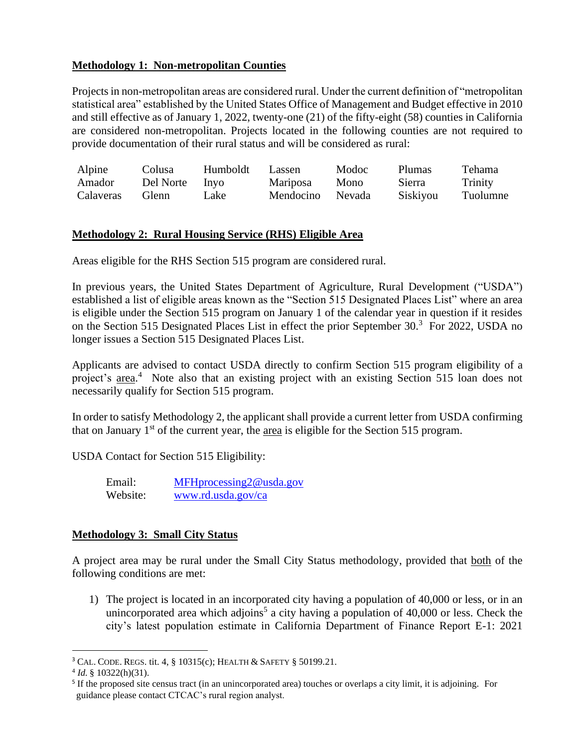## **Methodology 1: Non-metropolitan Counties**

Projects in non-metropolitan areas are considered rural. Under the current definition of "metropolitan statistical area" established by the United States Office of Management and Budget effective in 2010 and still effective as of January 1, 2022, twenty-one (21) of the fifty-eight (58) counties in California are considered non-metropolitan. Projects located in the following counties are not required to provide documentation of their rural status and will be considered as rural:

| Alpine    | Colusa         | Humboldt | Lassen          | Modoc  | <b>Plumas</b> | <b>Tehama</b> |
|-----------|----------------|----------|-----------------|--------|---------------|---------------|
| Amador    | Del Norte Inyo |          | <b>Mariposa</b> | Mono   | Sierra        | Trinity       |
| Calaveras | Glenn          | Lake     | Mendocino       | Nevada | Siskiyou      | Tuolumne      |

## **Methodology 2: Rural Housing Service (RHS) Eligible Area**

Areas eligible for the RHS Section 515 program are considered rural.

In previous years, the United States Department of Agriculture, Rural Development ("USDA") established a list of eligible areas known as the "Section 515 Designated Places List" where an area is eligible under the Section 515 program on January 1 of the calendar year in question if it resides on the Section 515 Designated Places List in effect the prior September 30.<sup>3</sup> For 2022, USDA no longer issues a Section 515 Designated Places List.

Applicants are advised to contact USDA directly to confirm Section 515 program eligibility of a project's area.<sup>4</sup> Note also that an existing project with an existing Section 515 loan does not necessarily qualify for Section 515 program.

In order to satisfy Methodology 2, the applicant shall provide a current letter from USDA confirming that on January  $1<sup>st</sup>$  of the current year, the area is eligible for the Section 515 program.

USDA Contact for Section 515 Eligibility:

| Email:   | $MFHprocessing2@$ usda.gov |
|----------|----------------------------|
| Website: | www.rd.usda.gov/ca         |

## **Methodology 3: Small City Status**

A project area may be rural under the Small City Status methodology, provided that both of the following conditions are met:

1) The project is located in an incorporated city having a population of 40,000 or less, or in an unincorporated area which adjoins<sup>5</sup> a city having a population of  $40,000$  or less. Check the city's latest population estimate in California Department of Finance Report E-1: 2021

<sup>3</sup> CAL. CODE. REGS. tit. 4, § 10315(c); HEALTH & SAFETY § 50199.21.

 $4$  *Id.* § 10322(h)(31).

<sup>&</sup>lt;sup>5</sup> If the proposed site census tract (in an unincorporated area) touches or overlaps a city limit, it is adjoining. For guidance please contact CTCAC's rural region analyst.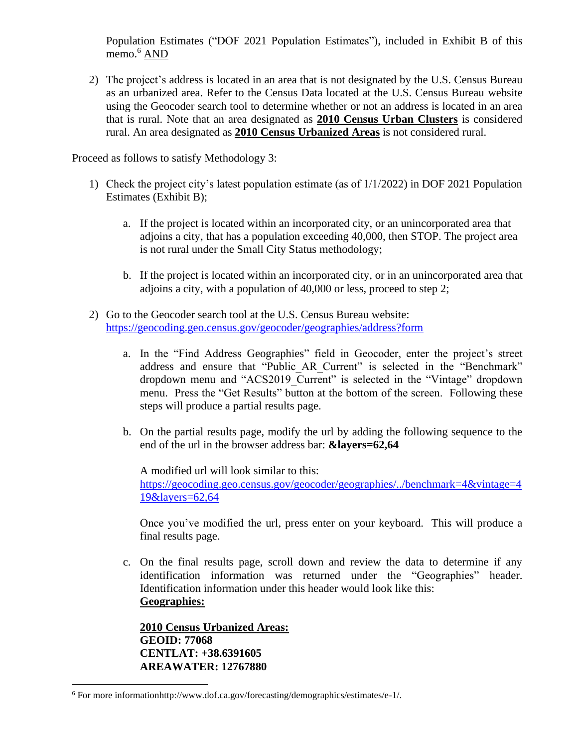Population Estimates ("DOF 2021 Population Estimates"), included in Exhibit B of this memo.<sup>6</sup> AND

2) The project's address is located in an area that is not designated by the U.S. Census Bureau as an urbanized area. Refer to the Census Data located at the U.S. Census Bureau website using the Geocoder search tool to determine whether or not an address is located in an area that is rural. Note that an area designated as **2010 Census Urban Clusters** is considered rural. An area designated as **2010 Census Urbanized Areas** is not considered rural.

Proceed as follows to satisfy Methodology 3:

- 1) Check the project city's latest population estimate (as of 1/1/2022) in DOF 2021 Population Estimates (Exhibit B);
	- a. If the project is located within an incorporated city, or an unincorporated area that adjoins a city, that has a population exceeding 40,000, then STOP. The project area is not rural under the Small City Status methodology;
	- b. If the project is located within an incorporated city, or in an unincorporated area that adjoins a city, with a population of 40,000 or less, proceed to step 2;
- 2) Go to the Geocoder search tool at the U.S. Census Bureau website: <https://geocoding.geo.census.gov/geocoder/geographies/address?form>
	- a. In the "Find Address Geographies" field in Geocoder, enter the project's street address and ensure that "Public\_AR\_Current" is selected in the "Benchmark" dropdown menu and "ACS2019\_Current" is selected in the "Vintage" dropdown menu. Press the "Get Results" button at the bottom of the screen. Following these steps will produce a partial results page.
	- b. On the partial results page, modify the url by adding the following sequence to the end of the url in the browser address bar: **&layers=62,64**

A modified url will look similar to this: [https://geocoding.geo.census.gov/geocoder/geographies/../benchmark=4&vintage=4](https://geocoding.geo.census.gov/geocoder/benchmark=4&vintage=419&layers=62,64)

[19&layers=62,64](https://geocoding.geo.census.gov/geocoder/benchmark=4&vintage=419&layers=62,64)

Once you've modified the url, press enter on your keyboard. This will produce a final results page.

c. On the final results page, scroll down and review the data to determine if any identification information was returned under the "Geographies" header. Identification information under this header would look like this: **Geographies:**

**2010 Census Urbanized Areas: GEOID: 77068 CENTLAT: +38.6391605 AREAWATER: 12767880**

<sup>6</sup> For more informationhttp://www.dof.ca.gov/forecasting/demographics/estimates/e-1/.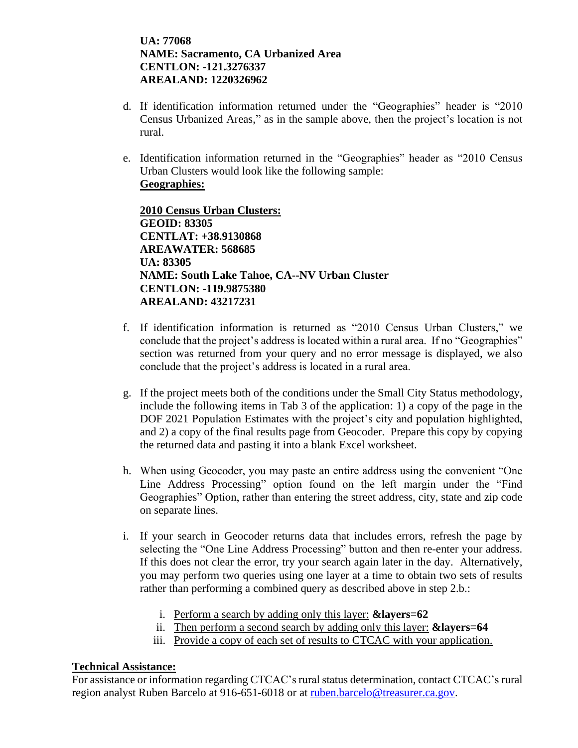**UA: 77068 NAME: Sacramento, CA Urbanized Area CENTLON: -121.3276337 AREALAND: 1220326962**

- d. If identification information returned under the "Geographies" header is "2010 Census Urbanized Areas," as in the sample above, then the project's location is not rural.
- e. Identification information returned in the "Geographies" header as "2010 Census Urban Clusters would look like the following sample: **Geographies:**

**2010 Census Urban Clusters: GEOID: 83305 CENTLAT: +38.9130868 AREAWATER: 568685 UA: 83305 NAME: South Lake Tahoe, CA--NV Urban Cluster CENTLON: -119.9875380 AREALAND: 43217231**

- f. If identification information is returned as "2010 Census Urban Clusters," we conclude that the project's address is located within a rural area. If no "Geographies" section was returned from your query and no error message is displayed, we also conclude that the project's address is located in a rural area.
- g. If the project meets both of the conditions under the Small City Status methodology, include the following items in Tab 3 of the application: 1) a copy of the page in the DOF 2021 Population Estimates with the project's city and population highlighted, and 2) a copy of the final results page from Geocoder. Prepare this copy by copying the returned data and pasting it into a blank Excel worksheet.
- h. When using Geocoder, you may paste an entire address using the convenient "One Line Address Processing" option found on the left margin under the "Find Geographies" Option, rather than entering the street address, city, state and zip code on separate lines.
- i. If your search in Geocoder returns data that includes errors, refresh the page by selecting the "One Line Address Processing" button and then re-enter your address. If this does not clear the error, try your search again later in the day. Alternatively, you may perform two queries using one layer at a time to obtain two sets of results rather than performing a combined query as described above in step 2.b.:
	- i. Perform a search by adding only this layer: **&layers=62**
	- ii. Then perform a second search by adding only this layer: **&layers=64**
	- iii. Provide a copy of each set of results to CTCAC with your application.

## **Technical Assistance:**

For assistance or information regarding CTCAC's rural status determination, contact CTCAC's rural region analyst Ruben Barcelo at 916-651-6018 or at [ruben.barcelo@treasurer.ca.gov.](mailto:ruben.barcelo@treasurer.ca.gov)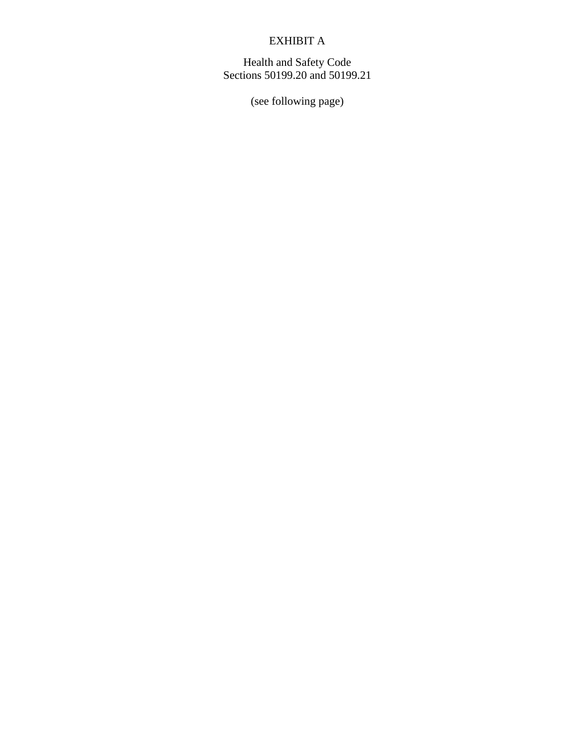# EXHIBIT A

Health and Safety Code Sections 50199.20 and 50199.21

(see following page)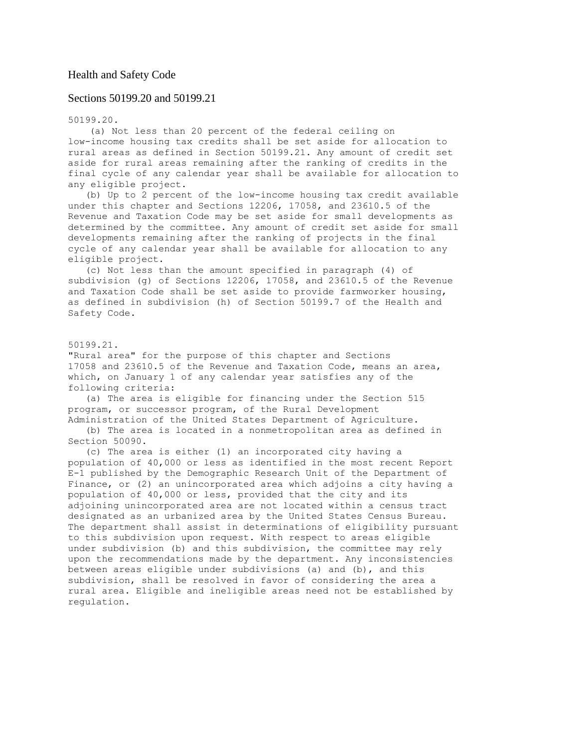## Health and Safety Code

## Sections 50199.20 and 50199.21

50199.20.

(a) Not less than 20 percent of the federal ceiling on low-income housing tax credits shall be set aside for allocation to rural areas as defined in Section 50199.21. Any amount of credit set aside for rural areas remaining after the ranking of credits in the final cycle of any calendar year shall be available for allocation to any eligible project.

(b) Up to 2 percent of the low-income housing tax credit available under this chapter and Sections 12206, 17058, and 23610.5 of the Revenue and Taxation Code may be set aside for small developments as determined by the committee. Any amount of credit set aside for small developments remaining after the ranking of projects in the final cycle of any calendar year shall be available for allocation to any eligible project.

(c) Not less than the amount specified in paragraph (4) of subdivision (g) of Sections 12206, 17058, and 23610.5 of the Revenue and Taxation Code shall be set aside to provide farmworker housing, as defined in subdivision (h) of Section 50199.7 of the Health and Safety Code.

### 50199.21.

"Rural area" for the purpose of this chapter and Sections 17058 and 23610.5 of the Revenue and Taxation Code, means an area, which, on January 1 of any calendar year satisfies any of the following criteria:

(a) The area is eligible for financing under the Section 515 program, or successor program, of the Rural Development Administration of the United States Department of Agriculture.

(b) The area is located in a nonmetropolitan area as defined in Section 50090.

(c) The area is either (1) an incorporated city having a population of 40,000 or less as identified in the most recent Report E-1 published by the Demographic Research Unit of the Department of Finance, or (2) an unincorporated area which adjoins a city having a population of 40,000 or less, provided that the city and its adjoining unincorporated area are not located within a census tract designated as an urbanized area by the United States Census Bureau. The department shall assist in determinations of eligibility pursuant to this subdivision upon request. With respect to areas eligible under subdivision (b) and this subdivision, the committee may rely upon the recommendations made by the department. Any inconsistencies between areas eligible under subdivisions (a) and (b), and this subdivision, shall be resolved in favor of considering the area a rural area. Eligible and ineligible areas need not be established by regulation.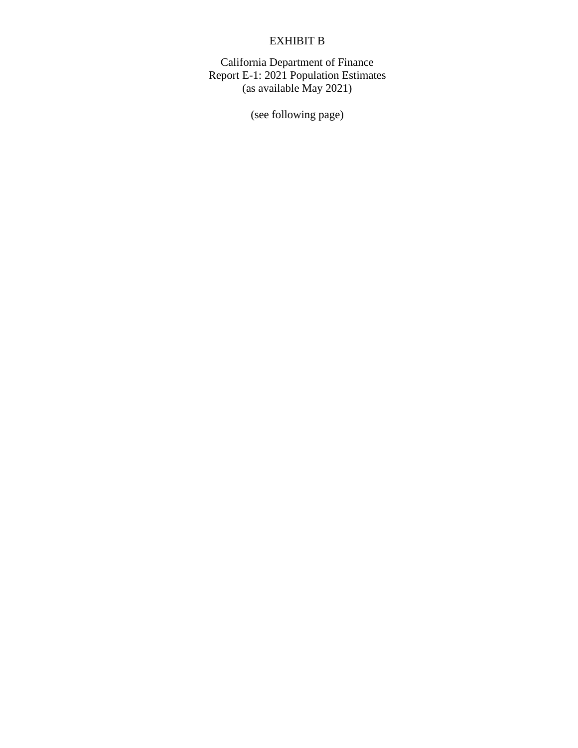# EXHIBIT B

California Department of Finance Report E-1: 2021 Population Estimates (as available May 2021)

(see following page)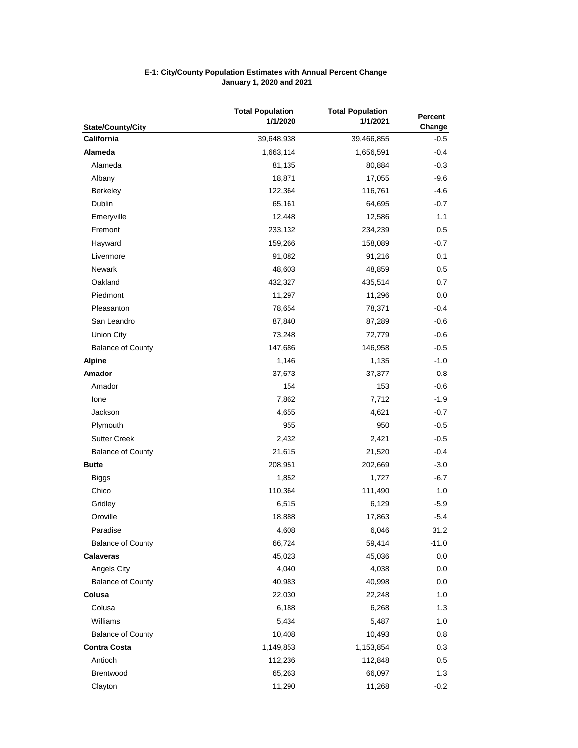| <b>State/County/City</b> | <b>Total Population</b><br>1/1/2020 | <b>Total Population</b><br>1/1/2021 | Percent<br>Change |
|--------------------------|-------------------------------------|-------------------------------------|-------------------|
| California               | 39,648,938                          | 39,466,855                          | $-0.5$            |
| <b>Alameda</b>           | 1,663,114                           | 1,656,591                           | $-0.4$            |
| Alameda                  | 81,135                              | 80,884                              | $-0.3$            |
| Albany                   | 18,871                              | 17,055                              | $-9.6$            |
| Berkeley                 | 122,364                             | 116,761                             | $-4.6$            |
| Dublin                   | 65,161                              | 64,695                              | $-0.7$            |
| Emeryville               | 12,448                              | 12,586                              | 1.1               |
| Fremont                  | 233,132                             | 234,239                             | 0.5               |
| Hayward                  | 159,266                             | 158,089                             | -0.7              |
| Livermore                | 91,082                              | 91,216                              | 0.1               |
| <b>Newark</b>            | 48,603                              | 48,859                              | $0.5\,$           |
| Oakland                  | 432,327                             | 435,514                             | 0.7               |
| Piedmont                 | 11,297                              | 11,296                              | 0.0               |
| Pleasanton               | 78,654                              | 78,371                              | $-0.4$            |
| San Leandro              | 87,840                              | 87,289                              | $-0.6$            |
| Union City               | 73,248                              | 72,779                              | $-0.6$            |
| <b>Balance of County</b> | 147,686                             | 146,958                             | $-0.5$            |
| <b>Alpine</b>            | 1,146                               | 1,135                               | $-1.0$            |
| Amador                   | 37,673                              | 37,377                              | $-0.8$            |
| Amador                   | 154                                 | 153                                 | -0.6              |
| lone                     | 7,862                               | 7,712                               | $-1.9$            |
| Jackson                  | 4,655                               | 4,621                               | $-0.7$            |
| Plymouth                 | 955                                 | 950                                 | $-0.5$            |
| <b>Sutter Creek</b>      | 2,432                               | 2,421                               | $-0.5$            |
| <b>Balance of County</b> | 21,615                              | 21,520                              | $-0.4$            |
| <b>Butte</b>             | 208,951                             | 202,669                             | $-3.0$            |
| <b>Biggs</b>             | 1,852                               | 1,727                               | $-6.7$            |
| Chico                    | 110,364                             | 111,490                             | 1.0               |
| Gridley                  | 6,515                               | 6,129                               | $-5.9$            |
| Oroville                 | 18,888                              | 17,863                              | $-5.4$            |
| Paradise                 | 4,608                               | 6,046                               | 31.2              |
| <b>Balance of County</b> | 66,724                              | 59,414                              | $-11.0$           |
| <b>Calaveras</b>         | 45,023                              | 45,036                              | 0.0               |
| Angels City              | 4,040                               | 4,038                               | 0.0               |
| <b>Balance of County</b> | 40,983                              | 40,998                              | 0.0               |
| Colusa                   | 22,030                              | 22,248                              | 1.0               |
| Colusa                   | 6,188                               | 6,268                               | 1.3               |
| Williams                 | 5,434                               | 5,487                               | 1.0               |
| <b>Balance of County</b> | 10,408                              | 10,493                              | 0.8               |
| <b>Contra Costa</b>      | 1,149,853                           | 1,153,854                           | 0.3               |
| Antioch                  | 112,236                             | 112,848                             | $0.5\,$           |
| Brentwood                | 65,263                              | 66,097                              | 1.3               |
| Clayton                  | 11,290                              | 11,268                              | $-0.2$            |

### **E-1: City/County Population Estimates with Annual Percent Change January 1, 2020 and 2021**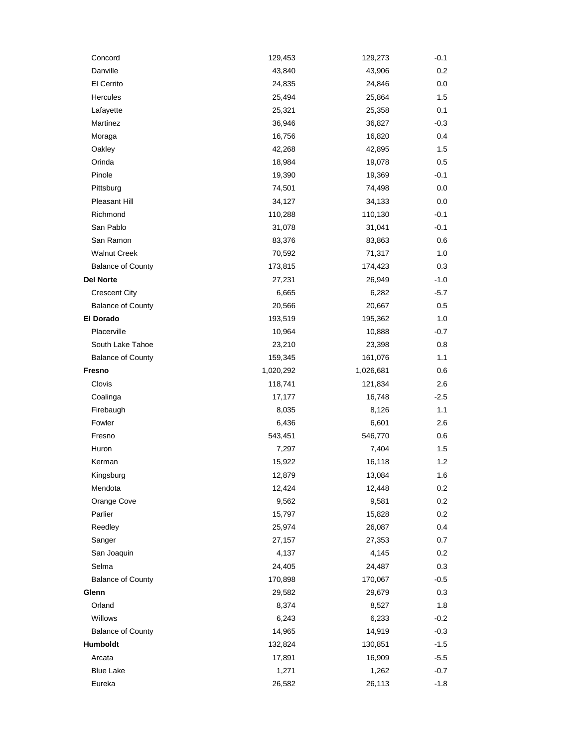| Concord                  | 129,453   | 129,273   | $-0.1$  |
|--------------------------|-----------|-----------|---------|
| Danville                 | 43,840    | 43,906    | 0.2     |
| El Cerrito               | 24,835    | 24,846    | 0.0     |
| Hercules                 | 25,494    | 25,864    | $1.5\,$ |
| Lafayette                | 25,321    | 25,358    | 0.1     |
| Martinez                 | 36,946    | 36,827    | $-0.3$  |
| Moraga                   | 16,756    | 16,820    | 0.4     |
| Oakley                   | 42,268    | 42,895    | 1.5     |
| Orinda                   | 18,984    | 19,078    | 0.5     |
| Pinole                   | 19,390    | 19,369    | -0.1    |
| Pittsburg                | 74,501    | 74,498    | 0.0     |
| Pleasant Hill            | 34,127    | 34,133    | 0.0     |
| Richmond                 | 110,288   | 110,130   | $-0.1$  |
| San Pablo                | 31,078    | 31,041    | $-0.1$  |
| San Ramon                | 83,376    | 83,863    | 0.6     |
| <b>Walnut Creek</b>      | 70,592    | 71,317    | 1.0     |
| <b>Balance of County</b> | 173,815   | 174,423   | 0.3     |
| <b>Del Norte</b>         | 27,231    | 26,949    | $-1.0$  |
| <b>Crescent City</b>     | 6,665     | 6,282     | $-5.7$  |
| <b>Balance of County</b> | 20,566    | 20,667    | 0.5     |
| El Dorado                | 193,519   | 195,362   | 1.0     |
| Placerville              | 10,964    | 10,888    | $-0.7$  |
| South Lake Tahoe         | 23,210    | 23,398    | 0.8     |
| <b>Balance of County</b> | 159,345   | 161,076   | 1.1     |
| Fresno                   | 1,020,292 | 1,026,681 | 0.6     |
| Clovis                   | 118,741   | 121,834   | 2.6     |
| Coalinga                 | 17,177    | 16,748    | $-2.5$  |
| Firebaugh                | 8,035     | 8,126     | 1.1     |
| Fowler                   | 6,436     | 6,601     | 2.6     |
| Fresno                   | 543,451   | 546,770   | 0.6     |
| Huron                    | 7,297     | 7,404     | 1.5     |
| Kerman                   | 15,922    | 16,118    | 1.2     |
| Kingsburg                | 12,879    | 13,084    | 1.6     |
| Mendota                  | 12,424    | 12,448    | 0.2     |
| Orange Cove              | 9,562     | 9,581     | 0.2     |
| Parlier                  | 15,797    | 15,828    | 0.2     |
| Reedley                  | 25,974    | 26,087    | 0.4     |
| Sanger                   | 27,157    | 27,353    | 0.7     |
| San Joaquin              | 4,137     | 4,145     | 0.2     |
| Selma                    | 24,405    | 24,487    | 0.3     |
| <b>Balance of County</b> | 170,898   | 170,067   | $-0.5$  |
| Glenn                    | 29,582    | 29,679    | 0.3     |
| Orland                   | 8,374     | 8,527     | 1.8     |
| Willows                  | 6,243     | 6,233     | $-0.2$  |
| <b>Balance of County</b> | 14,965    | 14,919    | $-0.3$  |
| Humboldt                 | 132,824   | 130,851   | $-1.5$  |
| Arcata                   | 17,891    | 16,909    | $-5.5$  |
| <b>Blue Lake</b>         | 1,271     | 1,262     | $-0.7$  |
| Eureka                   | 26,582    | 26,113    | $-1.8$  |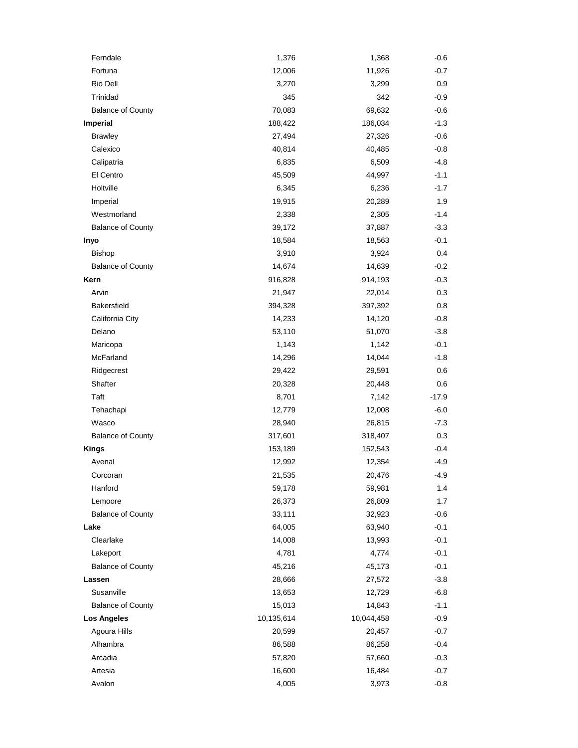| Ferndale                 | 1,376      | 1,368      | $-0.6$  |
|--------------------------|------------|------------|---------|
| Fortuna                  | 12,006     | 11,926     | $-0.7$  |
| Rio Dell                 | 3,270      | 3,299      | 0.9     |
| Trinidad                 | 345        | 342        | $-0.9$  |
| <b>Balance of County</b> | 70,083     | 69,632     | $-0.6$  |
| Imperial                 | 188,422    | 186,034    | $-1.3$  |
| <b>Brawley</b>           | 27,494     | 27,326     | -0.6    |
| Calexico                 | 40,814     | 40,485     | $-0.8$  |
| Calipatria               | 6,835      | 6,509      | $-4.8$  |
| El Centro                | 45,509     | 44,997     | $-1.1$  |
| Holtville                | 6,345      | 6,236      | $-1.7$  |
| Imperial                 | 19,915     | 20,289     | 1.9     |
| Westmorland              | 2,338      | 2,305      | $-1.4$  |
| <b>Balance of County</b> | 39,172     | 37,887     | $-3.3$  |
| Inyo                     | 18,584     | 18,563     | $-0.1$  |
| <b>Bishop</b>            | 3,910      | 3,924      | 0.4     |
| <b>Balance of County</b> | 14,674     | 14,639     | $-0.2$  |
| Kern                     | 916,828    | 914,193    | $-0.3$  |
| Arvin                    | 21,947     | 22,014     | 0.3     |
| Bakersfield              | 394,328    | 397,392    | 0.8     |
| California City          | 14,233     | 14,120     | $-0.8$  |
| Delano                   | 53,110     | 51,070     | $-3.8$  |
| Maricopa                 | 1,143      | 1,142      | $-0.1$  |
| McFarland                | 14,296     | 14,044     | $-1.8$  |
| Ridgecrest               | 29,422     | 29,591     | 0.6     |
| Shafter                  | 20,328     | 20,448     | 0.6     |
| Taft                     | 8,701      | 7,142      | $-17.9$ |
| Tehachapi                | 12,779     | 12,008     | $-6.0$  |
| Wasco                    | 28,940     | 26,815     | $-7.3$  |
| <b>Balance of County</b> | 317,601    | 318,407    | 0.3     |
| <b>Kings</b>             | 153,189    | 152,543    | $-0.4$  |
| Avenal                   | 12,992     | 12,354     | -4.9    |
| Corcoran                 | 21,535     | 20,476     | 4.9     |
| Hanford                  | 59,178     | 59,981     | 1.4     |
| Lemoore                  | 26,373     | 26,809     | 1.7     |
| <b>Balance of County</b> | 33,111     | 32,923     | $-0.6$  |
| Lake                     | 64,005     | 63,940     | $-0.1$  |
| Clearlake                | 14,008     | 13,993     | $-0.1$  |
| Lakeport                 | 4,781      | 4,774      | $-0.1$  |
| <b>Balance of County</b> | 45,216     | 45,173     | $-0.1$  |
| Lassen                   | 28,666     | 27,572     | $-3.8$  |
| Susanville               | 13,653     | 12,729     | $-6.8$  |
| <b>Balance of County</b> | 15,013     | 14,843     | $-1.1$  |
| <b>Los Angeles</b>       | 10,135,614 | 10,044,458 | $-0.9$  |
| Agoura Hills             | 20,599     | 20,457     | $-0.7$  |
| Alhambra                 | 86,588     | 86,258     | $-0.4$  |
| Arcadia                  | 57,820     | 57,660     | $-0.3$  |
| Artesia                  | 16,600     | 16,484     | $-0.7$  |
| Avalon                   | 4,005      | 3,973      | $-0.8$  |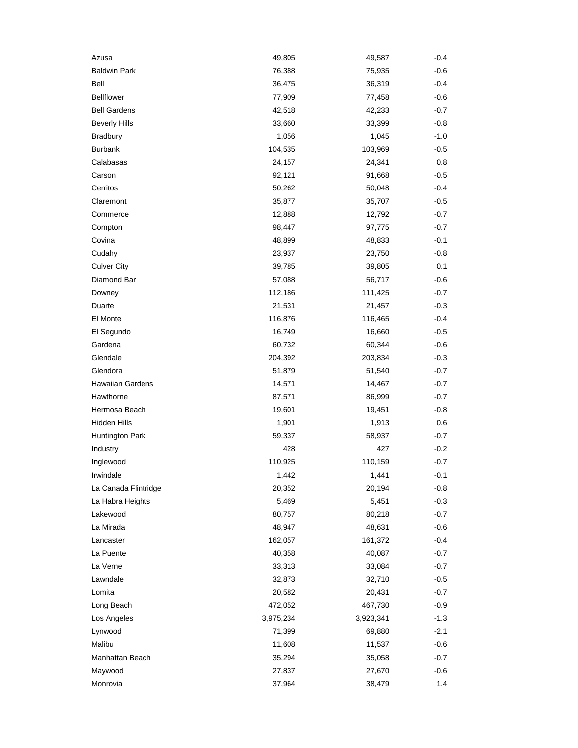| Azusa                | 49,805    | 49,587    | $-0.4$ |
|----------------------|-----------|-----------|--------|
| <b>Baldwin Park</b>  | 76,388    | 75,935    | $-0.6$ |
| Bell                 | 36,475    | 36,319    | $-0.4$ |
| <b>Bellflower</b>    | 77,909    | 77,458    | $-0.6$ |
| <b>Bell Gardens</b>  | 42,518    | 42,233    | $-0.7$ |
| <b>Beverly Hills</b> | 33,660    | 33,399    | $-0.8$ |
| <b>Bradbury</b>      | 1,056     | 1,045     | $-1.0$ |
| <b>Burbank</b>       | 104,535   | 103,969   | $-0.5$ |
| Calabasas            | 24,157    | 24,341    | 0.8    |
| Carson               | 92,121    | 91,668    | $-0.5$ |
| Cerritos             | 50,262    | 50,048    | $-0.4$ |
| Claremont            | 35,877    | 35,707    | $-0.5$ |
| Commerce             | 12,888    | 12,792    | $-0.7$ |
| Compton              | 98,447    | 97,775    | $-0.7$ |
| Covina               | 48,899    | 48,833    | $-0.1$ |
| Cudahy               | 23,937    | 23,750    | $-0.8$ |
| <b>Culver City</b>   | 39,785    | 39,805    | 0.1    |
| Diamond Bar          | 57,088    | 56,717    | $-0.6$ |
| Downey               | 112,186   | 111,425   | $-0.7$ |
| Duarte               | 21,531    | 21,457    | $-0.3$ |
| El Monte             | 116,876   | 116,465   | $-0.4$ |
| El Segundo           | 16,749    | 16,660    | $-0.5$ |
| Gardena              | 60,732    | 60,344    | $-0.6$ |
| Glendale             | 204,392   | 203,834   | $-0.3$ |
| Glendora             | 51,879    | 51,540    | $-0.7$ |
| Hawaiian Gardens     | 14,571    | 14,467    | $-0.7$ |
| Hawthorne            | 87,571    | 86,999    | $-0.7$ |
| Hermosa Beach        | 19,601    | 19,451    | -0.8   |
| Hidden Hills         | 1,901     | 1,913     | 0.6    |
| Huntington Park      | 59,337    | 58,937    | $-0.7$ |
| Industry             | 428       | 427       | $-0.2$ |
| Inglewood            | 110,925   | 110,159   | $-0.7$ |
| Irwindale            | 1,442     | 1,441     | $-0.1$ |
| La Canada Flintridge | 20,352    | 20,194    | $-0.8$ |
| La Habra Heights     | 5,469     | 5,451     | $-0.3$ |
| Lakewood             | 80,757    | 80,218    | $-0.7$ |
| La Mirada            | 48,947    | 48,631    | $-0.6$ |
| Lancaster            | 162,057   | 161,372   | $-0.4$ |
| La Puente            | 40,358    | 40,087    | $-0.7$ |
| La Verne             | 33,313    | 33,084    | $-0.7$ |
| Lawndale             | 32,873    | 32,710    | $-0.5$ |
| Lomita               | 20,582    | 20,431    | $-0.7$ |
| Long Beach           | 472,052   | 467,730   | $-0.9$ |
| Los Angeles          | 3,975,234 | 3,923,341 | $-1.3$ |
| Lynwood              | 71,399    | 69,880    | $-2.1$ |
| Malibu               | 11,608    | 11,537    | $-0.6$ |
| Manhattan Beach      | 35,294    | 35,058    | $-0.7$ |
| Maywood              | 27,837    | 27,670    | $-0.6$ |
| Monrovia             | 37,964    | 38,479    | 1.4    |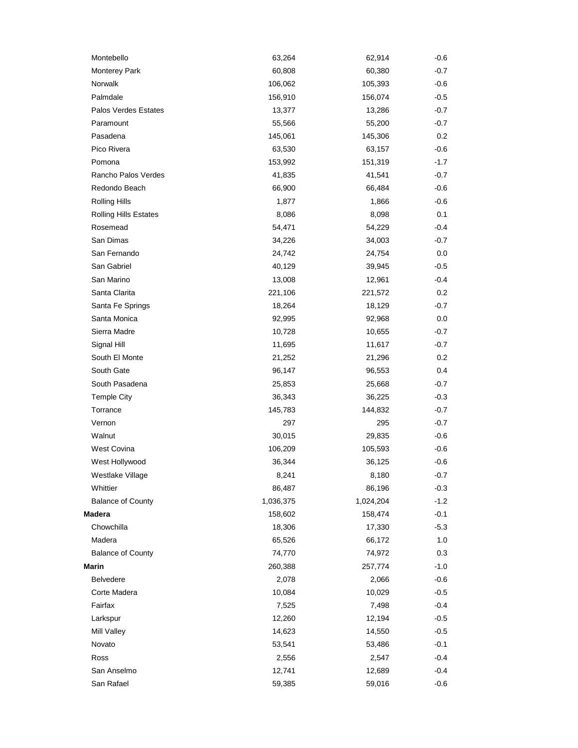| Montebello                   | 63,264    | 62,914    | $-0.6$ |
|------------------------------|-----------|-----------|--------|
| Monterey Park                | 60,808    | 60,380    | $-0.7$ |
| Norwalk                      | 106,062   | 105,393   | $-0.6$ |
| Palmdale                     | 156,910   | 156,074   | $-0.5$ |
| Palos Verdes Estates         | 13,377    | 13,286    | $-0.7$ |
| Paramount                    | 55,566    | 55,200    | $-0.7$ |
| Pasadena                     | 145,061   | 145,306   | 0.2    |
| Pico Rivera                  | 63,530    | 63,157    | $-0.6$ |
| Pomona                       | 153,992   | 151,319   | $-1.7$ |
| Rancho Palos Verdes          | 41,835    | 41,541    | $-0.7$ |
| Redondo Beach                | 66,900    | 66,484    | $-0.6$ |
| <b>Rolling Hills</b>         | 1,877     | 1,866     | $-0.6$ |
| <b>Rolling Hills Estates</b> | 8,086     | 8,098     | 0.1    |
| Rosemead                     | 54,471    | 54,229    | $-0.4$ |
| San Dimas                    | 34,226    | 34,003    | $-0.7$ |
| San Fernando                 | 24,742    | 24,754    | 0.0    |
| San Gabriel                  | 40,129    | 39,945    | $-0.5$ |
| San Marino                   | 13,008    | 12,961    | $-0.4$ |
| Santa Clarita                | 221,106   | 221,572   | 0.2    |
| Santa Fe Springs             | 18,264    | 18,129    | $-0.7$ |
| Santa Monica                 | 92,995    | 92,968    | 0.0    |
| Sierra Madre                 | 10,728    | 10,655    | $-0.7$ |
| Signal Hill                  | 11,695    | 11,617    | $-0.7$ |
| South El Monte               | 21,252    | 21,296    | 0.2    |
| South Gate                   | 96,147    | 96,553    | 0.4    |
| South Pasadena               | 25,853    | 25,668    | $-0.7$ |
| <b>Temple City</b>           | 36,343    | 36,225    | $-0.3$ |
| Torrance                     | 145,783   | 144,832   | $-0.7$ |
| Vernon                       | 297       | 295       | $-0.7$ |
| Walnut                       | 30,015    | 29,835    | $-0.6$ |
| West Covina                  | 106,209   | 105,593   | $-0.6$ |
| West Hollywood               | 36,344    | 36,125    | $-0.6$ |
| Westlake Village             | 8,241     | 8,180     | $-0.7$ |
| Whittier                     | 86,487    | 86,196    | $-0.3$ |
| <b>Balance of County</b>     | 1,036,375 | 1,024,204 | $-1.2$ |
| <b>Madera</b>                | 158,602   | 158,474   | $-0.1$ |
| Chowchilla                   | 18,306    | 17,330    | $-5.3$ |
| Madera                       | 65,526    | 66,172    | 1.0    |
| <b>Balance of County</b>     | 74,770    | 74,972    | 0.3    |
| <b>Marin</b>                 | 260,388   | 257,774   | $-1.0$ |
| <b>Belvedere</b>             | 2,078     | 2,066     | $-0.6$ |
| Corte Madera                 | 10,084    | 10,029    | $-0.5$ |
| Fairfax                      | 7,525     | 7,498     | $-0.4$ |
| Larkspur                     | 12,260    | 12,194    | $-0.5$ |
| Mill Valley                  | 14,623    | 14,550    | $-0.5$ |
| Novato                       | 53,541    | 53,486    | $-0.1$ |
| Ross                         | 2,556     | 2,547     | $-0.4$ |
| San Anselmo                  | 12,741    | 12,689    | $-0.4$ |
| San Rafael                   | 59,385    | 59,016    | $-0.6$ |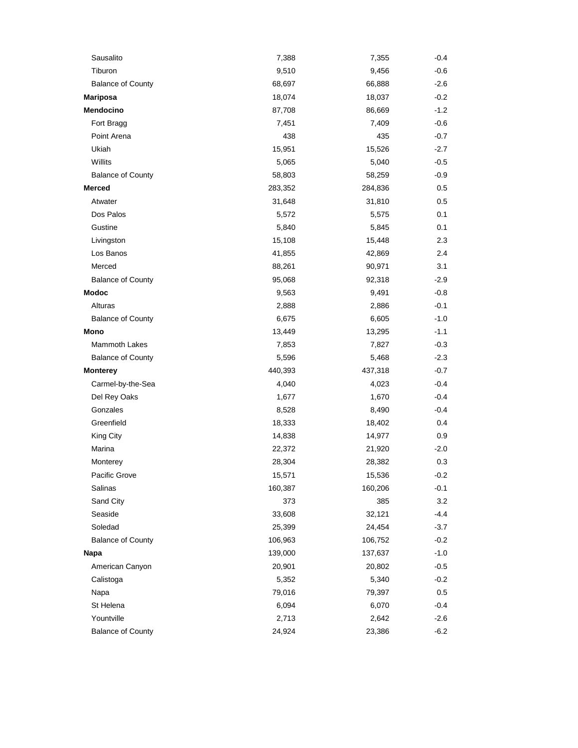| Sausalito                | 7,388   | 7,355   | $-0.4$ |
|--------------------------|---------|---------|--------|
| Tiburon                  | 9,510   | 9,456   | $-0.6$ |
| <b>Balance of County</b> | 68,697  | 66,888  | $-2.6$ |
| <b>Mariposa</b>          | 18,074  | 18,037  | $-0.2$ |
| Mendocino                | 87,708  | 86,669  | $-1.2$ |
| Fort Bragg               | 7,451   | 7,409   | -0.6   |
| Point Arena              | 438     | 435     | $-0.7$ |
| Ukiah                    | 15,951  | 15,526  | $-2.7$ |
| Willits                  | 5,065   | 5,040   | $-0.5$ |
| <b>Balance of County</b> | 58,803  | 58,259  | $-0.9$ |
| <b>Merced</b>            | 283,352 | 284,836 | 0.5    |
| Atwater                  | 31,648  | 31,810  | 0.5    |
| Dos Palos                | 5,572   | 5,575   | 0.1    |
| Gustine                  | 5,840   | 5,845   | 0.1    |
| Livingston               | 15,108  | 15,448  | 2.3    |
| Los Banos                | 41,855  | 42,869  | 2.4    |
| Merced                   | 88,261  | 90,971  | 3.1    |
| <b>Balance of County</b> | 95,068  | 92,318  | $-2.9$ |
| <b>Modoc</b>             | 9,563   | 9,491   | $-0.8$ |
| Alturas                  | 2,888   | 2,886   | $-0.1$ |
| <b>Balance of County</b> | 6,675   | 6,605   | $-1.0$ |
| Mono                     | 13,449  | 13,295  | $-1.1$ |
| <b>Mammoth Lakes</b>     | 7,853   | 7,827   | $-0.3$ |
| <b>Balance of County</b> | 5,596   | 5,468   | $-2.3$ |
| <b>Monterey</b>          | 440,393 | 437,318 | $-0.7$ |
| Carmel-by-the-Sea        | 4,040   | 4,023   | $-0.4$ |
| Del Rey Oaks             | 1,677   | 1,670   | $-0.4$ |
| Gonzales                 | 8,528   | 8,490   | $-0.4$ |
| Greenfield               | 18,333  | 18,402  | 0.4    |
| King City                | 14,838  | 14,977  | 0.9    |
| Marina                   | 22,372  | 21,920  | $-2.0$ |
| Monterey                 | 28,304  | 28,382  | 0.3    |
| Pacific Grove            | 15,571  | 15,536  | $-0.2$ |
| Salinas                  | 160,387 | 160,206 | $-0.1$ |
| Sand City                | 373     | 385     | 3.2    |
| Seaside                  | 33,608  | 32,121  | $-4.4$ |
| Soledad                  | 25,399  | 24,454  | $-3.7$ |
| <b>Balance of County</b> | 106,963 | 106,752 | $-0.2$ |
| Napa                     | 139,000 | 137,637 | $-1.0$ |
| American Canyon          | 20,901  | 20,802  | $-0.5$ |
| Calistoga                | 5,352   | 5,340   | $-0.2$ |
| Napa                     | 79,016  | 79,397  | 0.5    |
| St Helena                | 6,094   | 6,070   | $-0.4$ |
| Yountville               | 2,713   | 2,642   | $-2.6$ |
| <b>Balance of County</b> | 24,924  | 23,386  | $-6.2$ |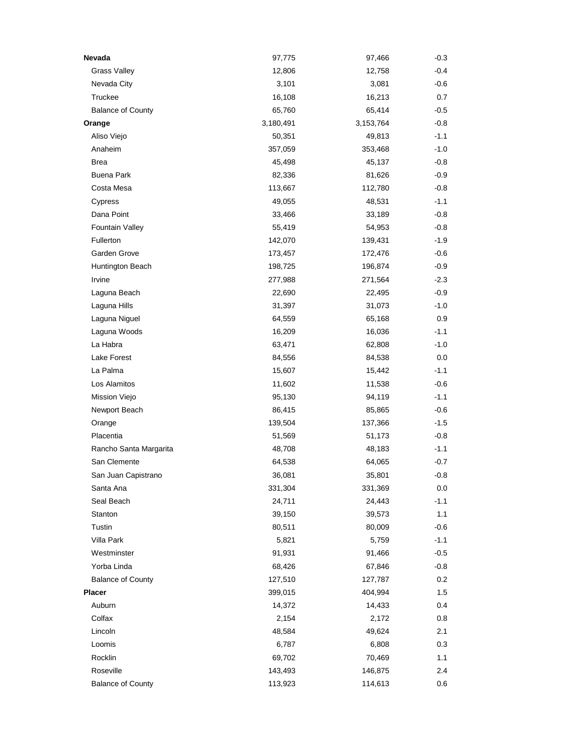| Nevada                   | 97,775    | 97,466    | $-0.3$  |
|--------------------------|-----------|-----------|---------|
| <b>Grass Valley</b>      | 12,806    | 12,758    | $-0.4$  |
| Nevada City              | 3,101     | 3,081     | $-0.6$  |
| Truckee                  | 16,108    | 16,213    | 0.7     |
| <b>Balance of County</b> | 65,760    | 65,414    | $-0.5$  |
| Orange                   | 3,180,491 | 3,153,764 | $-0.8$  |
| Aliso Viejo              | 50,351    | 49,813    | $-1.1$  |
| Anaheim                  | 357,059   | 353,468   | $-1.0$  |
| <b>Brea</b>              | 45,498    | 45,137    | $-0.8$  |
| <b>Buena Park</b>        | 82,336    | 81,626    | $-0.9$  |
| Costa Mesa               | 113,667   | 112,780   | $-0.8$  |
| Cypress                  | 49,055    | 48,531    | $-1.1$  |
| Dana Point               | 33,466    | 33,189    | $-0.8$  |
| Fountain Valley          | 55,419    | 54,953    | $-0.8$  |
| Fullerton                | 142,070   | 139,431   | $-1.9$  |
| Garden Grove             | 173,457   | 172,476   | $-0.6$  |
| Huntington Beach         | 198,725   | 196,874   | $-0.9$  |
| Irvine                   | 277,988   | 271,564   | $-2.3$  |
| Laguna Beach             | 22,690    | 22,495    | $-0.9$  |
| Laguna Hills             | 31,397    | 31,073    | $-1.0$  |
| Laguna Niguel            | 64,559    | 65,168    | 0.9     |
| Laguna Woods             | 16,209    | 16,036    | $-1.1$  |
| La Habra                 | 63,471    | 62,808    | $-1.0$  |
| Lake Forest              | 84,556    | 84,538    | $0.0\,$ |
| La Palma                 | 15,607    | 15,442    | $-1.1$  |
| Los Alamitos             | 11,602    | 11,538    | $-0.6$  |
| Mission Viejo            | 95,130    | 94,119    | $-1.1$  |
| Newport Beach            | 86,415    | 85,865    | $-0.6$  |
| Orange                   | 139,504   | 137,366   | $-1.5$  |
| Placentia                | 51,569    | 51,173    | $-0.8$  |
| Rancho Santa Margarita   | 48,708    | 48,183    | $-1.1$  |
| San Clemente             | 64,538    | 64,065    | $-0.7$  |
| San Juan Capistrano      | 36,081    | 35,801    | 0.8     |
| Santa Ana                | 331,304   | 331,369   | 0.0     |
| Seal Beach               | 24,711    | 24,443    | $-1.1$  |
| Stanton                  | 39,150    | 39,573    | 1.1     |
| Tustin                   | 80,511    | 80,009    | $-0.6$  |
| Villa Park               | 5,821     | 5,759     | $-1.1$  |
| Westminster              | 91,931    | 91,466    | $-0.5$  |
| Yorba Linda              | 68,426    | 67,846    | $-0.8$  |
| <b>Balance of County</b> | 127,510   | 127,787   | 0.2     |
| Placer                   | 399,015   | 404,994   | 1.5     |
| Auburn                   | 14,372    | 14,433    | 0.4     |
| Colfax                   | 2,154     | 2,172     | 0.8     |
| Lincoln                  | 48,584    | 49,624    | 2.1     |
| Loomis                   | 6,787     | 6,808     | 0.3     |
| Rocklin                  | 69,702    | 70,469    | 1.1     |
| Roseville                | 143,493   | 146,875   | 2.4     |
| <b>Balance of County</b> | 113,923   | 114,613   | 0.6     |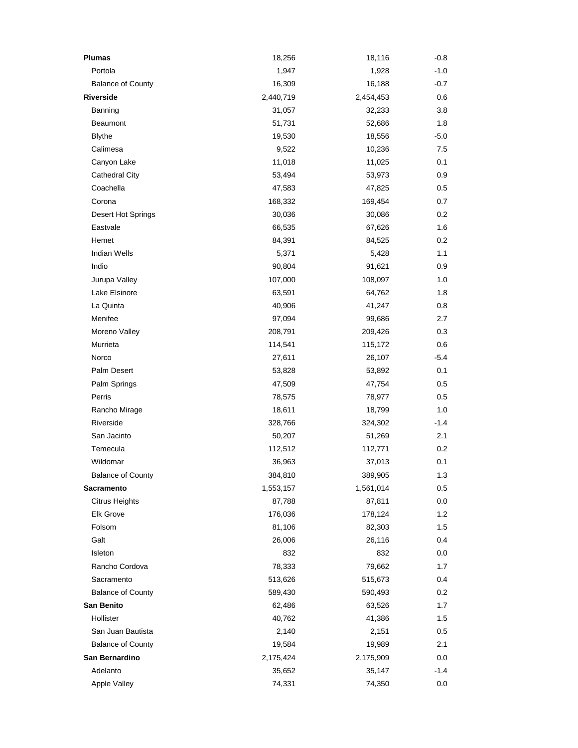| <b>Plumas</b>            | 18,256    | 18,116    | $-0.8$  |
|--------------------------|-----------|-----------|---------|
| Portola                  | 1,947     | 1,928     | $-1.0$  |
| <b>Balance of County</b> | 16,309    | 16,188    | $-0.7$  |
| <b>Riverside</b>         | 2,440,719 | 2,454,453 | 0.6     |
| Banning                  | 31,057    | 32,233    | 3.8     |
| <b>Beaumont</b>          | 51,731    | 52,686    | 1.8     |
| <b>Blythe</b>            | 19,530    | 18,556    | -5.0    |
| Calimesa                 | 9,522     | 10,236    | 7.5     |
| Canyon Lake              | 11,018    | 11,025    | 0.1     |
| <b>Cathedral City</b>    | 53,494    | 53,973    | 0.9     |
| Coachella                | 47,583    | 47,825    | 0.5     |
| Corona                   | 168,332   | 169,454   | 0.7     |
| Desert Hot Springs       | 30,036    | 30,086    | 0.2     |
| Eastvale                 | 66,535    | 67,626    | 1.6     |
| Hemet                    | 84,391    | 84,525    | 0.2     |
| <b>Indian Wells</b>      | 5,371     | 5,428     | 1.1     |
| Indio                    | 90,804    | 91,621    | 0.9     |
| Jurupa Valley            | 107,000   | 108,097   | 1.0     |
| Lake Elsinore            | 63,591    | 64,762    | 1.8     |
| La Quinta                | 40,906    | 41,247    | 0.8     |
| Menifee                  | 97,094    | 99,686    | 2.7     |
| Moreno Valley            | 208,791   | 209,426   | 0.3     |
| Murrieta                 | 114,541   | 115,172   | 0.6     |
| Norco                    | 27,611    | 26,107    | -5.4    |
| Palm Desert              | 53,828    | 53,892    | 0.1     |
| Palm Springs             | 47,509    | 47,754    | 0.5     |
| Perris                   | 78,575    | 78,977    | 0.5     |
| Rancho Mirage            | 18,611    | 18,799    | 1.0     |
| Riverside                | 328,766   | 324,302   | $-1.4$  |
| San Jacinto              | 50,207    | 51,269    | 2.1     |
| Temecula                 | 112,512   | 112,771   | 0.2     |
| Wildomar                 | 36,963    | 37,013    | 0.1     |
| <b>Balance of County</b> | 384,810   | 389,905   | 1.3     |
| <b>Sacramento</b>        | 1,553,157 | 1,561,014 | 0.5     |
| <b>Citrus Heights</b>    | 87,788    | 87,811    | 0.0     |
| Elk Grove                | 176,036   | 178,124   | 1.2     |
| Folsom                   | 81,106    | 82,303    | $1.5\,$ |
| Galt                     | 26,006    | 26,116    | 0.4     |
| Isleton                  | 832       | 832       | 0.0     |
| Rancho Cordova           | 78,333    | 79,662    | 1.7     |
| Sacramento               | 513,626   | 515,673   | 0.4     |
| <b>Balance of County</b> | 589,430   | 590,493   | 0.2     |
| San Benito               | 62,486    | 63,526    | 1.7     |
| Hollister                | 40,762    | 41,386    | 1.5     |
| San Juan Bautista        | 2,140     | 2,151     | $0.5\,$ |
| <b>Balance of County</b> | 19,584    | 19,989    | 2.1     |
| San Bernardino           | 2,175,424 | 2,175,909 | 0.0     |
| Adelanto                 | 35,652    | 35,147    | -1.4    |
| Apple Valley             | 74,331    | 74,350    | 0.0     |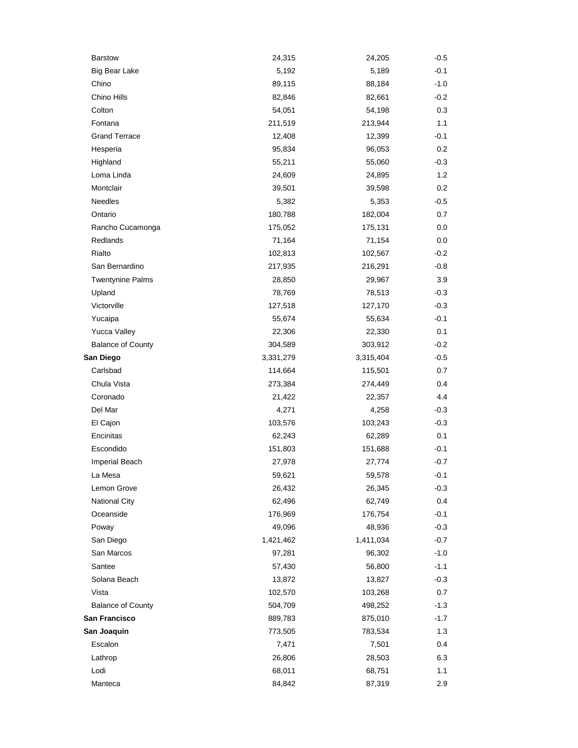| <b>Barstow</b>           | 24,315    | 24,205    | $-0.5$  |
|--------------------------|-----------|-----------|---------|
| <b>Big Bear Lake</b>     | 5,192     | 5,189     | $-0.1$  |
| Chino                    | 89,115    | 88,184    | $-1.0$  |
| Chino Hills              | 82,846    | 82,661    | $-0.2$  |
| Colton                   | 54,051    | 54,198    | 0.3     |
| Fontana                  | 211,519   | 213,944   | 1.1     |
| <b>Grand Terrace</b>     | 12,408    | 12,399    | $-0.1$  |
| Hesperia                 | 95,834    | 96,053    | 0.2     |
| Highland                 | 55,211    | 55,060    | $-0.3$  |
| Loma Linda               | 24,609    | 24,895    | 1.2     |
| Montclair                | 39,501    | 39,598    | 0.2     |
| <b>Needles</b>           | 5,382     | 5,353     | $-0.5$  |
| Ontario                  | 180,788   | 182,004   | 0.7     |
| Rancho Cucamonga         | 175,052   | 175,131   | 0.0     |
| Redlands                 | 71,164    | 71,154    | 0.0     |
| Rialto                   | 102,813   | 102,567   | $-0.2$  |
| San Bernardino           | 217,935   | 216,291   | $-0.8$  |
| <b>Twentynine Palms</b>  | 28,850    | 29,967    | 3.9     |
| Upland                   | 78,769    | 78,513    | $-0.3$  |
| Victorville              | 127,518   | 127,170   | $-0.3$  |
| Yucaipa                  | 55,674    | 55,634    | $-0.1$  |
| Yucca Valley             | 22,306    | 22,330    | 0.1     |
| <b>Balance of County</b> | 304,589   | 303,912   | $-0.2$  |
| San Diego                | 3,331,279 | 3,315,404 | $-0.5$  |
| Carlsbad                 | 114,664   | 115,501   | 0.7     |
| Chula Vista              | 273,384   | 274,449   | 0.4     |
| Coronado                 | 21,422    | 22,357    | 4.4     |
| Del Mar                  | 4,271     | 4,258     | $-0.3$  |
| El Cajon                 | 103,576   | 103,243   | $-0.3$  |
| Encinitas                | 62,243    | 62,289    | 0.1     |
| Escondido                | 151,803   | 151,688   | $-0.1$  |
| Imperial Beach           | 27,978    | 27,774    | $-0.7$  |
| La Mesa                  | 59,621    | 59,578    | $-0.1$  |
| Lemon Grove              | 26,432    | 26,345    | $-0.3$  |
| <b>National City</b>     | 62,496    | 62,749    | 0.4     |
| Oceanside                | 176,969   | 176,754   | $-0.1$  |
| Poway                    | 49,096    | 48,936    | $-0.3$  |
| San Diego                | 1,421,462 | 1,411,034 | $-0.7$  |
| San Marcos               | 97,281    | 96,302    | $-1.0$  |
| Santee                   | 57,430    | 56,800    | $-1.1$  |
| Solana Beach             | 13,872    | 13,827    | $-0.3$  |
| Vista                    | 102,570   | 103,268   | $0.7\,$ |
| <b>Balance of County</b> | 504,709   | 498,252   | $-1.3$  |
| San Francisco            | 889,783   | 875,010   | $-1.7$  |
| San Joaquin              | 773,505   | 783,534   | 1.3     |
| Escalon                  | 7,471     | 7,501     | 0.4     |
| Lathrop                  | 26,806    | 28,503    | 6.3     |
| Lodi                     | 68,011    | 68,751    | 1.1     |
| Manteca                  | 84,842    | 87,319    | 2.9     |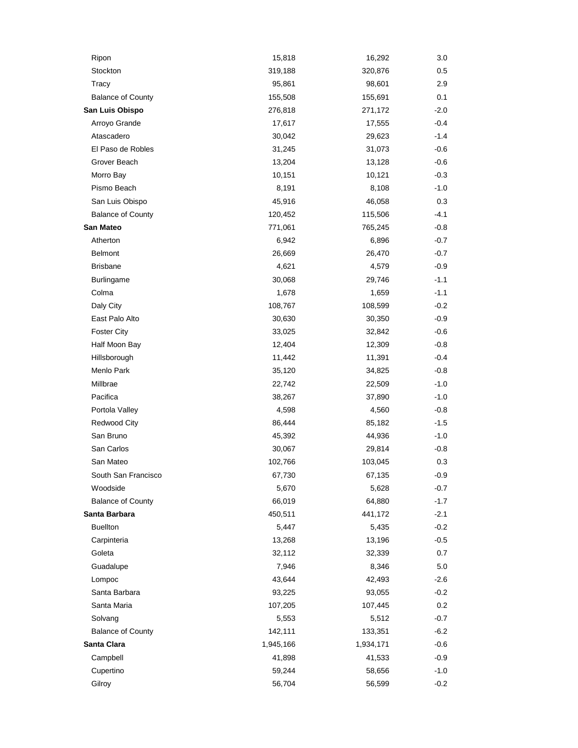| Ripon                    | 15,818    | 16,292    | 3.0    |
|--------------------------|-----------|-----------|--------|
| Stockton                 | 319,188   | 320,876   | 0.5    |
| Tracy                    | 95,861    | 98,601    | 2.9    |
| <b>Balance of County</b> | 155,508   | 155,691   | 0.1    |
| San Luis Obispo          | 276,818   | 271,172   | $-2.0$ |
| Arroyo Grande            | 17,617    | 17,555    | $-0.4$ |
| Atascadero               | 30,042    | 29,623    | -1.4   |
| El Paso de Robles        | 31,245    | 31,073    | $-0.6$ |
| Grover Beach             | 13,204    | 13,128    | $-0.6$ |
| Morro Bay                | 10,151    | 10,121    | $-0.3$ |
| Pismo Beach              | 8,191     | 8,108     | $-1.0$ |
| San Luis Obispo          | 45,916    | 46,058    | 0.3    |
| <b>Balance of County</b> | 120,452   | 115,506   | $-4.1$ |
| San Mateo                | 771,061   | 765,245   | $-0.8$ |
| Atherton                 | 6,942     | 6,896     | $-0.7$ |
| <b>Belmont</b>           | 26,669    | 26,470    | $-0.7$ |
| <b>Brisbane</b>          | 4,621     | 4,579     | $-0.9$ |
| Burlingame               | 30,068    | 29,746    | $-1.1$ |
| Colma                    | 1,678     | 1,659     | $-1.1$ |
| Daly City                | 108,767   | 108,599   | $-0.2$ |
| East Palo Alto           | 30,630    | 30,350    | $-0.9$ |
| <b>Foster City</b>       | 33,025    | 32,842    | -0.6   |
| Half Moon Bay            | 12,404    | 12,309    | $-0.8$ |
| Hillsborough             | 11,442    | 11,391    | $-0.4$ |
| Menlo Park               | 35,120    | 34,825    | $-0.8$ |
| Millbrae                 | 22,742    | 22,509    | $-1.0$ |
| Pacifica                 | 38,267    | 37,890    | -1.0   |
| Portola Valley           | 4,598     | 4,560     | -0.8   |
| Redwood City             | 86,444    | 85,182    | $-1.5$ |
| San Bruno                | 45,392    | 44,936    | -1.0   |
| San Carlos               | 30,067    | 29,814    | $-0.8$ |
| San Mateo                | 102,766   | 103,045   | 0.3    |
| South San Francisco      | 67,730    | 67,135    | -0.9   |
| Woodside                 | 5,670     | 5,628     | $-0.7$ |
| <b>Balance of County</b> | 66,019    | 64,880    | $-1.7$ |
| Santa Barbara            | 450,511   | 441,172   | $-2.1$ |
| <b>Buellton</b>          | 5,447     | 5,435     | $-0.2$ |
| Carpinteria              | 13,268    | 13,196    | $-0.5$ |
| Goleta                   | 32,112    | 32,339    | 0.7    |
| Guadalupe                | 7,946     | 8,346     | 5.0    |
| Lompoc                   | 43,644    | 42,493    | $-2.6$ |
| Santa Barbara            | 93,225    | 93,055    | $-0.2$ |
| Santa Maria              | 107,205   | 107,445   | 0.2    |
| Solvang                  | 5,553     | 5,512     | $-0.7$ |
| <b>Balance of County</b> | 142,111   | 133,351   | $-6.2$ |
| Santa Clara              | 1,945,166 | 1,934,171 | $-0.6$ |
| Campbell                 | 41,898    | 41,533    | $-0.9$ |
| Cupertino                | 59,244    | 58,656    | $-1.0$ |
| Gilroy                   | 56,704    | 56,599    | $-0.2$ |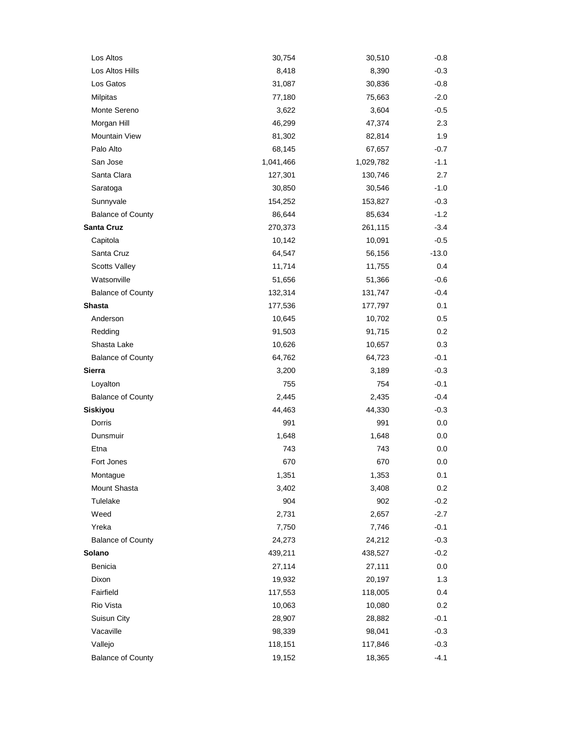| Los Altos                | 30,754    | 30,510    | $-0.8$  |
|--------------------------|-----------|-----------|---------|
| Los Altos Hills          | 8,418     | 8,390     | $-0.3$  |
| Los Gatos                | 31,087    | 30,836    | $-0.8$  |
| Milpitas                 | 77,180    | 75,663    | $-2.0$  |
| Monte Sereno             | 3,622     | 3,604     | $-0.5$  |
| Morgan Hill              | 46,299    | 47,374    | 2.3     |
| Mountain View            | 81,302    | 82,814    | 1.9     |
| Palo Alto                | 68,145    | 67,657    | $-0.7$  |
| San Jose                 | 1,041,466 | 1,029,782 | $-1.1$  |
| Santa Clara              | 127,301   | 130,746   | 2.7     |
| Saratoga                 | 30,850    | 30,546    | $-1.0$  |
| Sunnyvale                | 154,252   | 153,827   | $-0.3$  |
| <b>Balance of County</b> | 86,644    | 85,634    | $-1.2$  |
| Santa Cruz               | 270,373   | 261,115   | $-3.4$  |
| Capitola                 | 10,142    | 10,091    | $-0.5$  |
| Santa Cruz               | 64,547    | 56,156    | $-13.0$ |
| <b>Scotts Valley</b>     | 11,714    | 11,755    | 0.4     |
| Watsonville              | 51,656    | 51,366    | $-0.6$  |
| <b>Balance of County</b> | 132,314   | 131,747   | $-0.4$  |
| <b>Shasta</b>            | 177,536   | 177,797   | 0.1     |
| Anderson                 | 10,645    | 10,702    | 0.5     |
| Redding                  | 91,503    | 91,715    | 0.2     |
| Shasta Lake              | 10,626    | 10,657    | 0.3     |
| <b>Balance of County</b> | 64,762    | 64,723    | $-0.1$  |
| Sierra                   | 3,200     | 3,189     | $-0.3$  |
| Loyalton                 | 755       | 754       | $-0.1$  |
| <b>Balance of County</b> | 2,445     | 2,435     | $-0.4$  |
| Siskiyou                 | 44,463    | 44,330    | $-0.3$  |
| Dorris                   | 991       | 991       | 0.0     |
| Dunsmuir                 | 1,648     | 1,648     | 0.0     |
| Etna                     | 743       | 743       | 0.0     |
| Fort Jones               | 670       | 670       | 0.0     |
| Montague                 | 1,351     | 1,353     | 0.1     |
| Mount Shasta             | 3,402     | 3,408     | 0.2     |
| Tulelake                 | 904       | 902       | $-0.2$  |
| Weed                     | 2,731     | 2,657     | $-2.7$  |
| Yreka                    | 7,750     | 7,746     | $-0.1$  |
| <b>Balance of County</b> | 24,273    | 24,212    | $-0.3$  |
| Solano                   | 439,211   | 438,527   | $-0.2$  |
| Benicia                  | 27,114    | 27,111    | 0.0     |
| Dixon                    | 19,932    | 20,197    | 1.3     |
| Fairfield                | 117,553   | 118,005   | 0.4     |
| Rio Vista                | 10,063    | 10,080    | $0.2\,$ |
| Suisun City              | 28,907    | 28,882    | $-0.1$  |
| Vacaville                | 98,339    | 98,041    | $-0.3$  |
| Vallejo                  | 118,151   | 117,846   | $-0.3$  |
| <b>Balance of County</b> | 19,152    | 18,365    | $-4.1$  |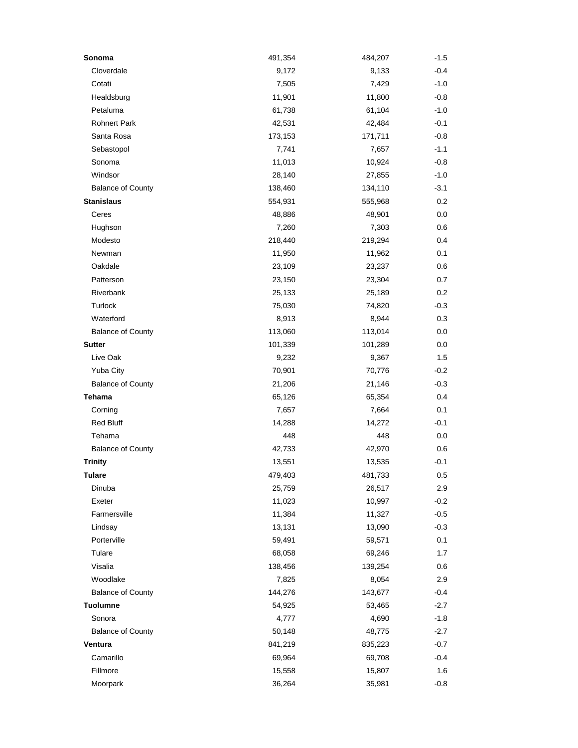| Sonoma                   | 491,354 | 484,207 | $-1.5$ |
|--------------------------|---------|---------|--------|
| Cloverdale               | 9,172   | 9,133   | $-0.4$ |
| Cotati                   | 7,505   | 7,429   | $-1.0$ |
| Healdsburg               | 11,901  | 11,800  | $-0.8$ |
| Petaluma                 | 61,738  | 61,104  | $-1.0$ |
| <b>Rohnert Park</b>      | 42,531  | 42,484  | $-0.1$ |
| Santa Rosa               | 173,153 | 171,711 | $-0.8$ |
| Sebastopol               | 7,741   | 7,657   | $-1.1$ |
| Sonoma                   | 11,013  | 10,924  | $-0.8$ |
| Windsor                  | 28,140  | 27,855  | $-1.0$ |
| <b>Balance of County</b> | 138,460 | 134,110 | $-3.1$ |
| <b>Stanislaus</b>        | 554,931 | 555,968 | 0.2    |
| Ceres                    | 48,886  | 48,901  | 0.0    |
| Hughson                  | 7,260   | 7,303   | 0.6    |
| Modesto                  | 218,440 | 219,294 | 0.4    |
| Newman                   | 11,950  | 11,962  | 0.1    |
| Oakdale                  | 23,109  | 23,237  | 0.6    |
| Patterson                | 23,150  | 23,304  | 0.7    |
| Riverbank                | 25,133  | 25,189  | 0.2    |
| Turlock                  | 75,030  | 74,820  | $-0.3$ |
| Waterford                | 8,913   | 8,944   | 0.3    |
| <b>Balance of County</b> | 113,060 | 113,014 | 0.0    |
| <b>Sutter</b>            | 101,339 | 101,289 | 0.0    |
| Live Oak                 | 9,232   | 9,367   | 1.5    |
| Yuba City                | 70,901  | 70,776  | $-0.2$ |
| <b>Balance of County</b> | 21,206  | 21,146  | $-0.3$ |
| Tehama                   | 65,126  | 65,354  | 0.4    |
| Corning                  | 7,657   | 7,664   | 0.1    |
| <b>Red Bluff</b>         | 14,288  | 14,272  | $-0.1$ |
| Tehama                   | 448     | 448     | 0.0    |
| <b>Balance of County</b> | 42,733  | 42,970  | 0.6    |
| <b>Trinity</b>           | 13,551  | 13,535  | $-0.1$ |
| Tulare                   | 479,403 | 481,733 | 0.5    |
| Dinuba                   | 25,759  | 26,517  | 2.9    |
| Exeter                   | 11,023  | 10,997  | $-0.2$ |
| Farmersville             | 11,384  | 11,327  | $-0.5$ |
| Lindsay                  | 13,131  | 13,090  | $-0.3$ |
| Porterville              | 59,491  | 59,571  | 0.1    |
| Tulare                   | 68,058  | 69,246  | 1.7    |
| Visalia                  | 138,456 | 139,254 | 0.6    |
| Woodlake                 | 7,825   | 8,054   | 2.9    |
| <b>Balance of County</b> | 144,276 | 143,677 | $-0.4$ |
| <b>Tuolumne</b>          | 54,925  | 53,465  | $-2.7$ |
| Sonora                   | 4,777   | 4,690   | $-1.8$ |
| <b>Balance of County</b> | 50,148  | 48,775  | $-2.7$ |
| Ventura                  | 841,219 | 835,223 | $-0.7$ |
| Camarillo                | 69,964  | 69,708  | $-0.4$ |
| Fillmore                 | 15,558  | 15,807  | 1.6    |
| Moorpark                 | 36,264  | 35,981  | $-0.8$ |